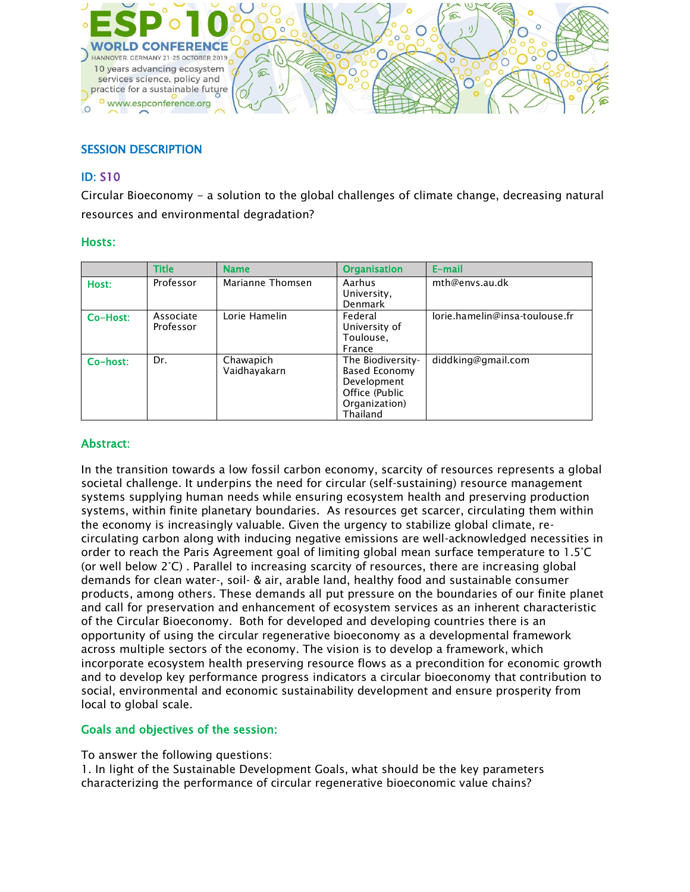

# SESSION DESCRIPTION

## ID: S10

Circular Bioeconomy - a solution to the global challenges of climate change, decreasing natural resources and environmental degradation?

### Hosts:

|          | <b>Title</b> | <b>Name</b>      | <b>Organisation</b>   | E-mail                         |
|----------|--------------|------------------|-----------------------|--------------------------------|
| Host:    | Professor    | Marianne Thomsen | Aarhus<br>University, | mth@envs.au.dk                 |
|          |              |                  | <b>Denmark</b>        |                                |
| Co-Host: | Associate    | Lorie Hamelin    | Federal               | lorie.hamelin@insa-toulouse.fr |
|          | Professor    |                  | University of         |                                |
|          |              |                  | Toulouse,             |                                |
|          |              |                  | France                |                                |
| Co-host: | Dr.          | Chawapich        | The Biodiversity-     | diddking@gmail.com             |
|          |              | Vaidhayakarn     | Based Economy         |                                |
|          |              |                  | Development           |                                |
|          |              |                  | Office (Public        |                                |
|          |              |                  | Organization)         |                                |
|          |              |                  | Thailand              |                                |

### Abstract:

In the transition towards a low fossil carbon economy, scarcity of resources represents a global societal challenge. It underpins the need for circular (self-sustaining) resource management systems supplying human needs while ensuring ecosystem health and preserving production systems, within finite planetary boundaries. As resources get scarcer, circulating them within the economy is increasingly valuable. Given the urgency to stabilize global climate, recirculating carbon along with inducing negative emissions are well-acknowledged necessities in order to reach the Paris Agreement goal of limiting global mean surface temperature to 1.5°C (or well below 2°C) . Parallel to increasing scarcity of resources, there are increasing global demands for clean water-, soil- & air, arable land, healthy food and sustainable consumer products, among others. These demands all put pressure on the boundaries of our finite planet and call for preservation and enhancement of ecosystem services as an inherent characteristic of the Circular Bioeconomy. Both for developed and developing countries there is an opportunity of using the circular regenerative bioeconomy as a developmental framework across multiple sectors of the economy. The vision is to develop a framework, which incorporate ecosystem health preserving resource flows as a precondition for economic growth and to develop key performance progress indicators a circular bioeconomy that contribution to social, environmental and economic sustainability development and ensure prosperity from local to global scale.

### Goals and objectives of the session:

To answer the following questions:

1. In light of the Sustainable Development Goals, what should be the key parameters characterizing the performance of circular regenerative bioeconomic value chains?